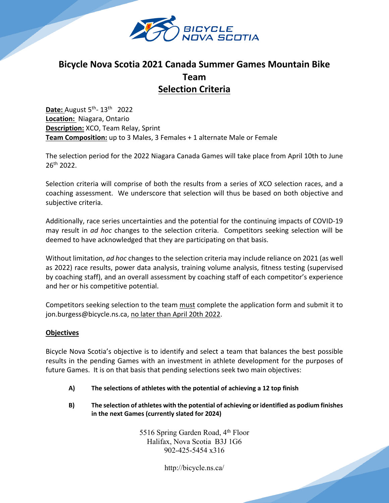

# **Bicycle Nova Scotia 2021 Canada Summer Games Mountain Bike Team Selection Criteria**

**Date:** August 5th- 13th 2022 **Location:** Niagara, Ontario **Description:** XCO, Team Relay, Sprint **Team Composition:** up to 3 Males, 3 Females + 1 alternate Male or Female

The selection period for the 2022 Niagara Canada Games will take place from April 10th to June 26th 2022.

Selection criteria will comprise of both the results from a series of XCO selection races, and a coaching assessment. We underscore that selection will thus be based on both objective and subjective criteria.

Additionally, race series uncertainties and the potential for the continuing impacts of COVID-19 may result in *ad hoc* changes to the selection criteria. Competitors seeking selection will be deemed to have acknowledged that they are participating on that basis.

Without limitation, *ad hoc* changes to the selection criteria may include reliance on 2021 (as well as 2022) race results, power data analysis, training volume analysis, fitness testing (supervised by coaching staff), and an overall assessment by coaching staff of each competitor's experience and her or his competitive potential.

Competitors seeking selection to the team must complete the application form and submit it to jon.burgess@bicycle.ns.ca, no later than April 20th 2022.

## **Objectives**

Bicycle Nova Scotia's objective is to identify and select a team that balances the best possible results in the pending Games with an investment in athlete development for the purposes of future Games. It is on that basis that pending selections seek two main objectives:

- **A) The selections of athletes with the potential of achieving a 12 top finish**
- **B) The selection of athletes with the potential of achieving or identified as podium finishes in the next Games (currently slated for 2024)**

5516 Spring Garden Road, 4<sup>th</sup> Floor Halifax, Nova Scotia B3J 1G6 902-425-5454 x316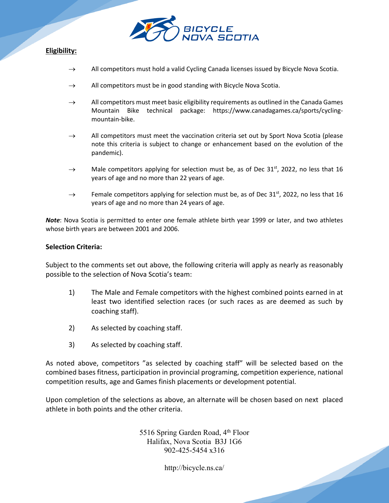

# **Eligibility:**

- $\rightarrow$  All competitors must hold a valid Cycling Canada licenses issued by Bicycle Nova Scotia.
- $\rightarrow$  All competitors must be in good standing with Bicycle Nova Scotia.
- $\rightarrow$  All competitors must meet basic eligibility requirements as outlined in the Canada Games Mountain Bike technical package: https://www.canadagames.ca/sports/cyclingmountain-bike.
- $\rightarrow$  All competitors must meet the vaccination criteria set out by Sport Nova Scotia (please note this criteria is subject to change or enhancement based on the evolution of the pandemic).
- $\rightarrow$  Male competitors applying for selection must be, as of Dec 31<sup>st</sup>, 2022, no less that 16 years of age and no more than 22 years of age.
- $\rightarrow$  Female competitors applying for selection must be, as of Dec 31<sup>st</sup>, 2022, no less that 16 years of age and no more than 24 years of age.

*Note*: Nova Scotia is permitted to enter one female athlete birth year 1999 or later, and two athletes whose birth years are between 2001 and 2006.

#### **Selection Criteria:**

Subject to the comments set out above, the following criteria will apply as nearly as reasonably possible to the selection of Nova Scotia's team:

- 1) The Male and Female competitors with the highest combined points earned in at least two identified selection races (or such races as are deemed as such by coaching staff).
- 2) As selected by coaching staff.
- 3) As selected by coaching staff.

As noted above, competitors "as selected by coaching staff" will be selected based on the combined bases fitness, participation in provincial programing, competition experience, national competition results, age and Games finish placements or development potential.

Upon completion of the selections as above, an alternate will be chosen based on next placed athlete in both points and the other criteria.

> 5516 Spring Garden Road, 4<sup>th</sup> Floor Halifax, Nova Scotia B3J 1G6 902-425-5454 x316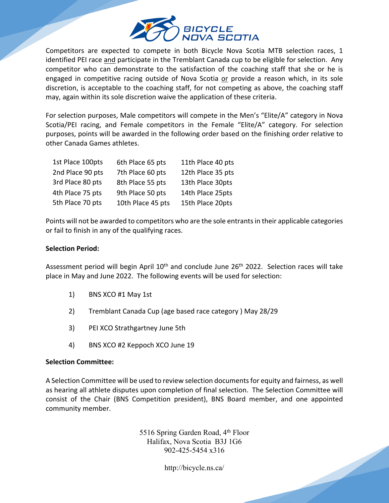

Competitors are expected to compete in both Bicycle Nova Scotia MTB selection races, 1 identified PEI race and participate in the Tremblant Canada cup to be eligible for selection. Any competitor who can demonstrate to the satisfaction of the coaching staff that she or he is engaged in competitive racing outside of Nova Scotia or provide a reason which, in its sole discretion, is acceptable to the coaching staff, for not competing as above, the coaching staff may, again within its sole discretion waive the application of these criteria.

For selection purposes, Male competitors will compete in the Men's "Elite/A" category in Nova Scotia/PEI racing, and Female competitors in the Female "Elite/A" category. For selection purposes, points will be awarded in the following order based on the finishing order relative to other Canada Games athletes.

| 1st Place 100pts | 6th Place 65 pts  | 11th Place 40 pts |
|------------------|-------------------|-------------------|
| 2nd Place 90 pts | 7th Place 60 pts  | 12th Place 35 pts |
| 3rd Place 80 pts | 8th Place 55 pts  | 13th Place 30pts  |
| 4th Place 75 pts | 9th Place 50 pts  | 14th Place 25pts  |
| 5th Place 70 pts | 10th Place 45 pts | 15th Place 20pts  |

Points will not be awarded to competitors who are the sole entrants in their applicable categories or fail to finish in any of the qualifying races.

#### **Selection Period:**

Assessment period will begin April 10<sup>th</sup> and conclude June 26<sup>th</sup> 2022. Selection races will take place in May and June 2022. The following events will be used for selection:

- 1) BNS XCO #1 May 1st
- 2) Tremblant Canada Cup (age based race category ) May 28/29
- 3) PEI XCO Strathgartney June 5th
- 4) BNS XCO #2 Keppoch XCO June 19

#### **Selection Committee:**

A Selection Committee will be used to review selection documents for equity and fairness, as well as hearing all athlete disputes upon completion of final selection. The Selection Committee will consist of the Chair (BNS Competition president), BNS Board member, and one appointed community member.

> 5516 Spring Garden Road, 4<sup>th</sup> Floor Halifax, Nova Scotia B3J 1G6 902-425-5454 x316